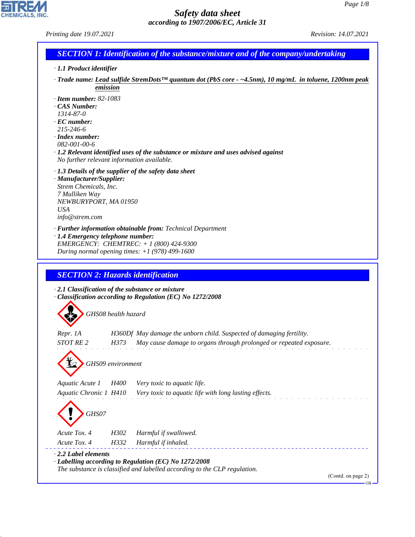| Printing date 19.07.2021                                                                                                                                                                        | Revision: 14.07.2021                                                                                                                       |
|-------------------------------------------------------------------------------------------------------------------------------------------------------------------------------------------------|--------------------------------------------------------------------------------------------------------------------------------------------|
|                                                                                                                                                                                                 | <b>SECTION 1: Identification of the substance/mixture and of the company/undertaking</b>                                                   |
| · 1.1 Product identifier                                                                                                                                                                        |                                                                                                                                            |
| emission                                                                                                                                                                                        | $\cdot$ Trade name: Lead sulfide StremDots <sup>TM</sup> quantum dot (PbS core $\sim$ -4.5nm), 10 mg/mL in toluene, 1200nm peak            |
| $\cdot$ Item number: 82-1083<br>· CAS Number:<br>1314-87-0<br>$\cdot$ EC number:<br>215-246-6<br>$\cdot$ Index number:                                                                          |                                                                                                                                            |
| 082-001-00-6<br>$\cdot$ 1.2 Relevant identified uses of the substance or mixture and uses advised against<br>No further relevant information available.                                         |                                                                                                                                            |
| $\cdot$ 1.3 Details of the supplier of the safety data sheet<br>· Manufacturer/Supplier:<br>Strem Chemicals, Inc.<br>7 Mulliken Way<br>NEWBURYPORT, MA 01950<br><b>USA</b><br>info@strem.com    |                                                                                                                                            |
| · Further information obtainable from: Technical Department<br>· 1.4 Emergency telephone number:<br>EMERGENCY: CHEMTREC: + 1 (800) 424-9300<br>During normal opening times: $+1$ (978) 499-1600 |                                                                                                                                            |
| <b>SECTION 2: Hazards identification</b>                                                                                                                                                        |                                                                                                                                            |
| $\cdot$ 2.1 Classification of the substance or mixture<br>Classification according to Regulation (EC) No 1272/2008                                                                              |                                                                                                                                            |
| GHS08 health hazard                                                                                                                                                                             |                                                                                                                                            |
| Repr. 1A<br><i>STOT RE 2</i><br>H373                                                                                                                                                            | H360Df May damage the unborn child. Suspected of damaging fertility.<br>May cause damage to organs through prolonged or repeated exposure. |
| GHS09 environment                                                                                                                                                                               |                                                                                                                                            |
| Aquatic Acute 1<br><i>H400</i><br>Very toxic to aquatic life.<br>Aquatic Chronic 1 H410                                                                                                         | Very toxic to aquatic life with long lasting effects.                                                                                      |
| GHS07<br>Acute Tox. 4<br>H302<br>Harmful if swallowed.                                                                                                                                          |                                                                                                                                            |
| Acute Tox. 4<br>H332<br>Harmful if inhaled.                                                                                                                                                     |                                                                                                                                            |
| $\cdot$ 2.2 Label elements                                                                                                                                                                      |                                                                                                                                            |
| · Labelling according to Regulation (EC) No 1272/2008<br>The substance is classified and labelled according to the CLP regulation.                                                              |                                                                                                                                            |
|                                                                                                                                                                                                 | (Contd. on page 2)<br>$GB -$                                                                                                               |
|                                                                                                                                                                                                 |                                                                                                                                            |

44.1.1

CHEMICALS, INC.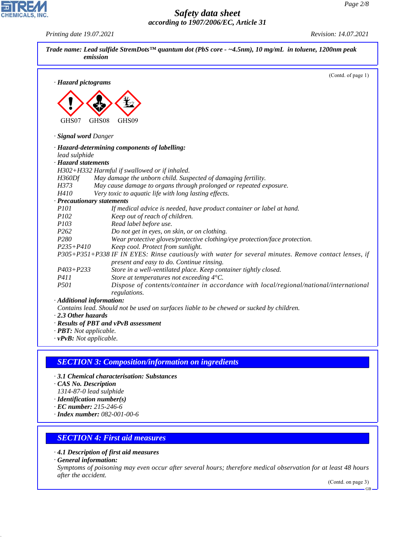| · Hazard pictograms<br>GHS07<br>GHS08<br>GHS09<br>· Signal word Danger<br>· Hazard-determining components of labelling:<br>lead sulphide<br>· Hazard statements<br>H302+H332 Harmful if swallowed or if inhaled.<br>May damage the unborn child. Suspected of damaging fertility.<br>H360Df<br>H373<br>May cause damage to organs through prolonged or repeated exposure.<br>H410<br>Very toxic to aquatic life with long lasting effects.<br>· Precautionary statements<br><i>P101</i><br>If medical advice is needed, have product container or label at hand.<br>P102<br>Keep out of reach of children.<br>P103<br>Read label before use.<br>P <sub>262</sub><br>Do not get in eyes, on skin, or on clothing.<br>P <sub>280</sub><br>Wear protective gloves/protective clothing/eye protection/face protection.<br>$P235 + P410$<br>Keep cool. Protect from sunlight.<br>P305+P351+P338 IF IN EYES: Rinse cautiously with water for several minutes. Remove contact lenses, if<br>present and easy to do. Continue rinsing.<br>Store in a well-ventilated place. Keep container tightly closed.<br>$P403 + P233$<br>P411<br>Store at temperatures not exceeding 4°C.<br>P501<br>regulations.<br>· Additional information:<br>Contains lead. Should not be used on surfaces liable to be chewed or sucked by children.<br>$\cdot$ 2.3 Other hazards<br>· Results of PBT and vPvB assessment |                                                          | (Contd. of page 1)                                                                     |
|-----------------------------------------------------------------------------------------------------------------------------------------------------------------------------------------------------------------------------------------------------------------------------------------------------------------------------------------------------------------------------------------------------------------------------------------------------------------------------------------------------------------------------------------------------------------------------------------------------------------------------------------------------------------------------------------------------------------------------------------------------------------------------------------------------------------------------------------------------------------------------------------------------------------------------------------------------------------------------------------------------------------------------------------------------------------------------------------------------------------------------------------------------------------------------------------------------------------------------------------------------------------------------------------------------------------------------------------------------------------------------------------------|----------------------------------------------------------|----------------------------------------------------------------------------------------|
|                                                                                                                                                                                                                                                                                                                                                                                                                                                                                                                                                                                                                                                                                                                                                                                                                                                                                                                                                                                                                                                                                                                                                                                                                                                                                                                                                                                               |                                                          |                                                                                        |
|                                                                                                                                                                                                                                                                                                                                                                                                                                                                                                                                                                                                                                                                                                                                                                                                                                                                                                                                                                                                                                                                                                                                                                                                                                                                                                                                                                                               |                                                          |                                                                                        |
|                                                                                                                                                                                                                                                                                                                                                                                                                                                                                                                                                                                                                                                                                                                                                                                                                                                                                                                                                                                                                                                                                                                                                                                                                                                                                                                                                                                               |                                                          |                                                                                        |
|                                                                                                                                                                                                                                                                                                                                                                                                                                                                                                                                                                                                                                                                                                                                                                                                                                                                                                                                                                                                                                                                                                                                                                                                                                                                                                                                                                                               |                                                          |                                                                                        |
|                                                                                                                                                                                                                                                                                                                                                                                                                                                                                                                                                                                                                                                                                                                                                                                                                                                                                                                                                                                                                                                                                                                                                                                                                                                                                                                                                                                               |                                                          |                                                                                        |
|                                                                                                                                                                                                                                                                                                                                                                                                                                                                                                                                                                                                                                                                                                                                                                                                                                                                                                                                                                                                                                                                                                                                                                                                                                                                                                                                                                                               |                                                          |                                                                                        |
|                                                                                                                                                                                                                                                                                                                                                                                                                                                                                                                                                                                                                                                                                                                                                                                                                                                                                                                                                                                                                                                                                                                                                                                                                                                                                                                                                                                               |                                                          |                                                                                        |
|                                                                                                                                                                                                                                                                                                                                                                                                                                                                                                                                                                                                                                                                                                                                                                                                                                                                                                                                                                                                                                                                                                                                                                                                                                                                                                                                                                                               |                                                          |                                                                                        |
|                                                                                                                                                                                                                                                                                                                                                                                                                                                                                                                                                                                                                                                                                                                                                                                                                                                                                                                                                                                                                                                                                                                                                                                                                                                                                                                                                                                               |                                                          |                                                                                        |
|                                                                                                                                                                                                                                                                                                                                                                                                                                                                                                                                                                                                                                                                                                                                                                                                                                                                                                                                                                                                                                                                                                                                                                                                                                                                                                                                                                                               |                                                          |                                                                                        |
|                                                                                                                                                                                                                                                                                                                                                                                                                                                                                                                                                                                                                                                                                                                                                                                                                                                                                                                                                                                                                                                                                                                                                                                                                                                                                                                                                                                               |                                                          |                                                                                        |
|                                                                                                                                                                                                                                                                                                                                                                                                                                                                                                                                                                                                                                                                                                                                                                                                                                                                                                                                                                                                                                                                                                                                                                                                                                                                                                                                                                                               |                                                          |                                                                                        |
|                                                                                                                                                                                                                                                                                                                                                                                                                                                                                                                                                                                                                                                                                                                                                                                                                                                                                                                                                                                                                                                                                                                                                                                                                                                                                                                                                                                               |                                                          |                                                                                        |
|                                                                                                                                                                                                                                                                                                                                                                                                                                                                                                                                                                                                                                                                                                                                                                                                                                                                                                                                                                                                                                                                                                                                                                                                                                                                                                                                                                                               |                                                          |                                                                                        |
|                                                                                                                                                                                                                                                                                                                                                                                                                                                                                                                                                                                                                                                                                                                                                                                                                                                                                                                                                                                                                                                                                                                                                                                                                                                                                                                                                                                               |                                                          |                                                                                        |
|                                                                                                                                                                                                                                                                                                                                                                                                                                                                                                                                                                                                                                                                                                                                                                                                                                                                                                                                                                                                                                                                                                                                                                                                                                                                                                                                                                                               |                                                          |                                                                                        |
|                                                                                                                                                                                                                                                                                                                                                                                                                                                                                                                                                                                                                                                                                                                                                                                                                                                                                                                                                                                                                                                                                                                                                                                                                                                                                                                                                                                               |                                                          |                                                                                        |
|                                                                                                                                                                                                                                                                                                                                                                                                                                                                                                                                                                                                                                                                                                                                                                                                                                                                                                                                                                                                                                                                                                                                                                                                                                                                                                                                                                                               |                                                          |                                                                                        |
|                                                                                                                                                                                                                                                                                                                                                                                                                                                                                                                                                                                                                                                                                                                                                                                                                                                                                                                                                                                                                                                                                                                                                                                                                                                                                                                                                                                               |                                                          |                                                                                        |
|                                                                                                                                                                                                                                                                                                                                                                                                                                                                                                                                                                                                                                                                                                                                                                                                                                                                                                                                                                                                                                                                                                                                                                                                                                                                                                                                                                                               |                                                          |                                                                                        |
|                                                                                                                                                                                                                                                                                                                                                                                                                                                                                                                                                                                                                                                                                                                                                                                                                                                                                                                                                                                                                                                                                                                                                                                                                                                                                                                                                                                               |                                                          |                                                                                        |
|                                                                                                                                                                                                                                                                                                                                                                                                                                                                                                                                                                                                                                                                                                                                                                                                                                                                                                                                                                                                                                                                                                                                                                                                                                                                                                                                                                                               |                                                          |                                                                                        |
|                                                                                                                                                                                                                                                                                                                                                                                                                                                                                                                                                                                                                                                                                                                                                                                                                                                                                                                                                                                                                                                                                                                                                                                                                                                                                                                                                                                               |                                                          |                                                                                        |
|                                                                                                                                                                                                                                                                                                                                                                                                                                                                                                                                                                                                                                                                                                                                                                                                                                                                                                                                                                                                                                                                                                                                                                                                                                                                                                                                                                                               |                                                          |                                                                                        |
|                                                                                                                                                                                                                                                                                                                                                                                                                                                                                                                                                                                                                                                                                                                                                                                                                                                                                                                                                                                                                                                                                                                                                                                                                                                                                                                                                                                               |                                                          | Dispose of contents/container in accordance with local/regional/national/international |
|                                                                                                                                                                                                                                                                                                                                                                                                                                                                                                                                                                                                                                                                                                                                                                                                                                                                                                                                                                                                                                                                                                                                                                                                                                                                                                                                                                                               |                                                          |                                                                                        |
|                                                                                                                                                                                                                                                                                                                                                                                                                                                                                                                                                                                                                                                                                                                                                                                                                                                                                                                                                                                                                                                                                                                                                                                                                                                                                                                                                                                               |                                                          |                                                                                        |
|                                                                                                                                                                                                                                                                                                                                                                                                                                                                                                                                                                                                                                                                                                                                                                                                                                                                                                                                                                                                                                                                                                                                                                                                                                                                                                                                                                                               |                                                          |                                                                                        |
|                                                                                                                                                                                                                                                                                                                                                                                                                                                                                                                                                                                                                                                                                                                                                                                                                                                                                                                                                                                                                                                                                                                                                                                                                                                                                                                                                                                               |                                                          |                                                                                        |
|                                                                                                                                                                                                                                                                                                                                                                                                                                                                                                                                                                                                                                                                                                                                                                                                                                                                                                                                                                                                                                                                                                                                                                                                                                                                                                                                                                                               | · PBT: Not applicable.<br>$\cdot v$ PvB: Not applicable. |                                                                                        |

# *SECTION 3: Composition/information on ingredients*

- *· 3.1 Chemical characterisation: Substances*
- *· CAS No. Description*
- *1314-87-0 lead sulphide*
- *· Identification number(s)*
- *· EC number: 215-246-6*
- *· Index number: 082-001-00-6*

# *SECTION 4: First aid measures*

- *· 4.1 Description of first aid measures*
- *· General information:*

44.1.1

*Symptoms of poisoning may even occur after several hours; therefore medical observation for at least 48 hours after the accident.*

(Contd. on page 3)  $-GB$ 



*Printing date 19.07.2021 Revision: 14.07.2021*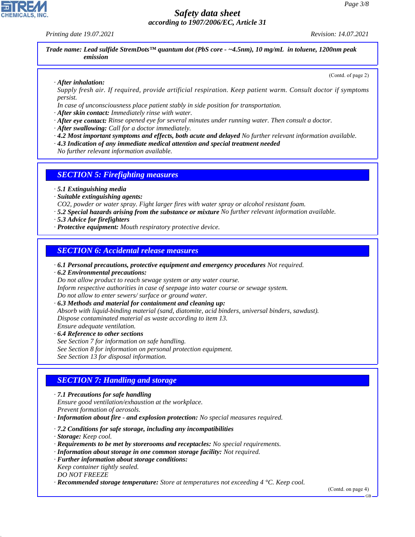*Printing date 19.07.2021 Revision: 14.07.2021*

*Trade name: Lead sulfide StremDots™ quantum dot (PbS core - ~4.5nm), 10 mg/mL in toluene, 1200nm peak emission*

*· After inhalation:*

(Contd. of page 2)

*Supply fresh air. If required, provide artificial respiration. Keep patient warm. Consult doctor if symptoms persist.*

*In case of unconsciousness place patient stably in side position for transportation.*

*· After skin contact: Immediately rinse with water.*

- *· After eye contact: Rinse opened eye for several minutes under running water. Then consult a doctor.*
- *· After swallowing: Call for a doctor immediately.*
- *· 4.2 Most important symptoms and effects, both acute and delayed No further relevant information available.*
- *· 4.3 Indication of any immediate medical attention and special treatment needed*
- *No further relevant information available.*

### *SECTION 5: Firefighting measures*

- *· 5.1 Extinguishing media*
- *· Suitable extinguishing agents:*

*CO2, powder or water spray. Fight larger fires with water spray or alcohol resistant foam.*

*· 5.2 Special hazards arising from the substance or mixture No further relevant information available.*

- *· 5.3 Advice for firefighters*
- *· Protective equipment: Mouth respiratory protective device.*

#### *SECTION 6: Accidental release measures*

*· 6.1 Personal precautions, protective equipment and emergency procedures Not required.*

*· 6.2 Environmental precautions:*

*Do not allow product to reach sewage system or any water course.*

*Inform respective authorities in case of seepage into water course or sewage system.*

*Do not allow to enter sewers/ surface or ground water.*

*· 6.3 Methods and material for containment and cleaning up: Absorb with liquid-binding material (sand, diatomite, acid binders, universal binders, sawdust). Dispose contaminated material as waste according to item 13. Ensure adequate ventilation.*

*· 6.4 Reference to other sections*

*See Section 7 for information on safe handling.*

*See Section 8 for information on personal protection equipment.*

*See Section 13 for disposal information.*

### *SECTION 7: Handling and storage*

*· 7.1 Precautions for safe handling*

*Ensure good ventilation/exhaustion at the workplace.*

*Prevent formation of aerosols.*

- *· Information about fire and explosion protection: No special measures required.*
- *· 7.2 Conditions for safe storage, including any incompatibilities*
- *· Storage: Keep cool.*

44.1.1

- *· Requirements to be met by storerooms and receptacles: No special requirements.*
- *· Information about storage in one common storage facility: Not required.*
- *· Further information about storage conditions: Keep container tightly sealed. DO NOT FREEZE*

*· Recommended storage temperature: Store at temperatures not exceeding 4 °C. Keep cool.*

(Contd. on page 4)

GB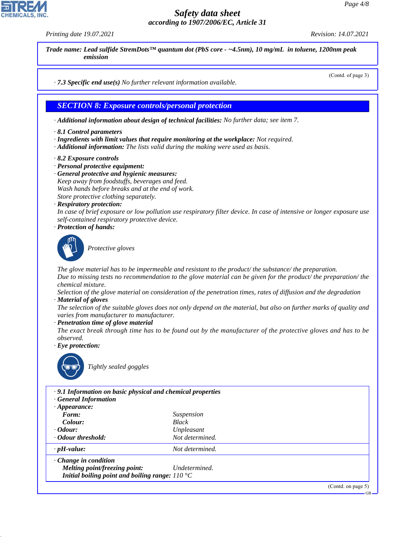*Printing date 19.07.2021 Revision: 14.07.2021*

*Trade name: Lead sulfide StremDots™ quantum dot (PbS core - ~4.5nm), 10 mg/mL in toluene, 1200nm peak emission*

*· 7.3 Specific end use(s) No further relevant information available.*

#### *SECTION 8: Exposure controls/personal protection*

- *· Additional information about design of technical facilities: No further data; see item 7.*
- *· 8.1 Control parameters*
- *· Ingredients with limit values that require monitoring at the workplace: Not required.*
- *· Additional information: The lists valid during the making were used as basis.*
- *· 8.2 Exposure controls*
- *· Personal protective equipment:*
- *· General protective and hygienic measures:*
- *Keep away from foodstuffs, beverages and feed.*
- *Wash hands before breaks and at the end of work.*
- *Store protective clothing separately.*
- *· Respiratory protection:*

*In case of brief exposure or low pollution use respiratory filter device. In case of intensive or longer exposure use self-contained respiratory protective device.*

*· Protection of hands:*



\_S*Protective gloves*

*The glove material has to be impermeable and resistant to the product/ the substance/ the preparation. Due to missing tests no recommendation to the glove material can be given for the product/ the preparation/ the chemical mixture.*

*Selection of the glove material on consideration of the penetration times, rates of diffusion and the degradation · Material of gloves*

*The selection of the suitable gloves does not only depend on the material, but also on further marks of quality and varies from manufacturer to manufacturer.*

*· Penetration time of glove material*

*The exact break through time has to be found out by the manufacturer of the protective gloves and has to be observed.*

*· Eye protection:*



44.1.1

\_R*Tightly sealed goggles*

| .9.1 Information on basic physical and chemical properties<br><b>General Information</b> |                   |                    |
|------------------------------------------------------------------------------------------|-------------------|--------------------|
| $\cdot$ Appearance:                                                                      |                   |                    |
| Form:                                                                                    | <i>Suspension</i> |                    |
| Colour:                                                                                  | <b>Black</b>      |                    |
| $\cdot$ Odour:                                                                           | Unpleasant        |                    |
| · Odour threshold:                                                                       | Not determined.   |                    |
| $\cdot$ pH-value:                                                                        | Not determined.   |                    |
| $\cdot$ Change in condition                                                              |                   |                    |
| Melting point/freezing point:                                                            | Undetermined.     |                    |
| Initial boiling point and boiling range: $110^{\circ}$ C                                 |                   |                    |
|                                                                                          |                   | (Contd. on page 5) |

GB

(Contd. of page 3)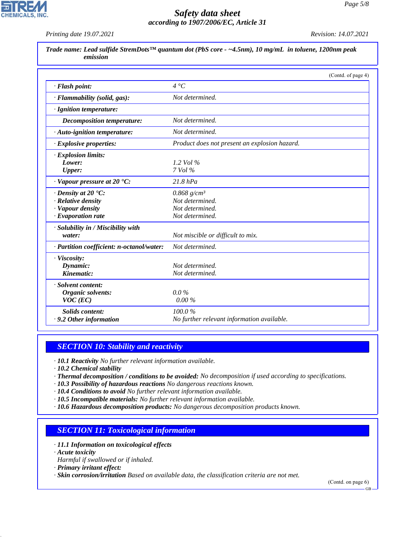*Printing date 19.07.2021 Revision: 14.07.2021*

**CHEMICALS, INC.** 

|                                                | (Contd. of page 4)                            |
|------------------------------------------------|-----------------------------------------------|
| · Flash point:                                 | $4~^\circ C$                                  |
| · Flammability (solid, gas):                   | Not determined.                               |
| · Ignition temperature:                        |                                               |
| <b>Decomposition temperature:</b>              | Not determined.                               |
| · Auto-ignition temperature:                   | Not determined.                               |
| · Explosive properties:                        | Product does not present an explosion hazard. |
| · Explosion limits:                            |                                               |
| Lower:                                         | 1.2 Vol %                                     |
| <b>Upper:</b>                                  | 7 Vol %                                       |
| $\cdot$ Vapour pressure at 20 $\textdegree$ C: | $21.8$ $hPa$                                  |
| $\cdot$ Density at 20 $\cdot$ C:               | $0.868$ g/cm <sup>3</sup>                     |
| · Relative density                             | Not determined.                               |
| · Vapour density                               | Not determined.                               |
| · Evaporation rate                             | Not determined.                               |
| · Solubility in / Miscibility with             |                                               |
| water:                                         | Not miscible or difficult to mix.             |
| · Partition coefficient: n-octanol/water:      | Not determined.                               |
| · Viscosity:                                   |                                               |
| Dynamic:                                       | Not determined.                               |
| Kinematic:                                     | Not determined.                               |
| · Solvent content:                             |                                               |
| Organic solvents:                              | $0.0\%$                                       |
| $VOC$ (EC)                                     | $0.00\%$                                      |
| <b>Solids content:</b>                         | 100.0%                                        |
| . 9.2 Other information                        | No further relevant information available.    |

## *SECTION 10: Stability and reactivity*

*· 10.1 Reactivity No further relevant information available.*

*· 10.2 Chemical stability*

- *· Thermal decomposition / conditions to be avoided: No decomposition if used according to specifications.*
- *· 10.3 Possibility of hazardous reactions No dangerous reactions known.*
- *· 10.4 Conditions to avoid No further relevant information available.*
- *· 10.5 Incompatible materials: No further relevant information available.*
- *· 10.6 Hazardous decomposition products: No dangerous decomposition products known.*

#### *SECTION 11: Toxicological information*

- *· 11.1 Information on toxicological effects*
- *· Acute toxicity*

44.1.1

- *Harmful if swallowed or if inhaled.*
- *· Primary irritant effect:*

*· Skin corrosion/irritation Based on available data, the classification criteria are not met.*

(Contd. on page 6)

GB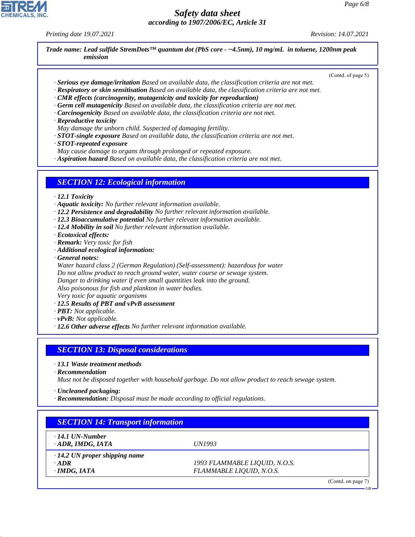٦

GB

# *Safety data sheet according to 1907/2006/EC, Article 31*

*Printing date 19.07.2021 Revision: 14.07.2021*

CHEMICALS, INC.

Г

44.1.1

|                                                                         | (Contd. of page 5)                                                                                          |
|-------------------------------------------------------------------------|-------------------------------------------------------------------------------------------------------------|
|                                                                         | · Serious eye damage/irritation Based on available data, the classification criteria are not met.           |
|                                                                         | $\cdot$ Respiratory or skin sensitisation Based on available data, the classification criteria are not met. |
|                                                                         | $\cdot$ CMR effects (carcinogenity, mutagenicity and toxicity for reproduction)                             |
|                                                                         | $\cdot$ Germ cell mutagenicity Based on available data, the classification criteria are not met.            |
|                                                                         | · Carcinogenicity Based on available data, the classification criteria are not met.                         |
| · Reproductive toxicity                                                 |                                                                                                             |
| May damage the unborn child. Suspected of damaging fertility.           |                                                                                                             |
|                                                                         | $\cdot$ STOT-single exposure Based on available data, the classification criteria are not met.              |
| $\cdot$ STOT-repeated exposure                                          |                                                                                                             |
| May cause damage to organs through prolonged or repeated exposure.      |                                                                                                             |
|                                                                         | · Aspiration hazard Based on available data, the classification criteria are not met.                       |
| <b>SECTION 12: Ecological information</b>                               |                                                                                                             |
| $\cdot$ 12.1 Toxicity                                                   |                                                                                                             |
| · Aquatic toxicity: No further relevant information available.          |                                                                                                             |
|                                                                         | · 12.2 Persistence and degradability No further relevant information available.                             |
|                                                                         | · 12.3 Bioaccumulative potential No further relevant information available.                                 |
| · 12.4 Mobility in soil No further relevant information available.      |                                                                                                             |
| · Ecotoxical effects:                                                   |                                                                                                             |
| · Remark: Very toxic for fish                                           |                                                                                                             |
| · Additional ecological information:                                    |                                                                                                             |
| General notes:                                                          |                                                                                                             |
|                                                                         | Water hazard class 2 (German Regulation) (Self-assessment): hazardous for water                             |
|                                                                         | Do not allow product to reach ground water, water course or sewage system.                                  |
| Danger to drinking water if even small quantities leak into the ground. |                                                                                                             |
| Also poisonous for fish and plankton in water bodies.                   |                                                                                                             |
| Very toxic for aquatic organisms                                        |                                                                                                             |
| · 12.5 Results of PBT and vPvB assessment                               |                                                                                                             |
| · <b>PBT</b> : Not applicable.                                          |                                                                                                             |
| $\cdot$ vPvB: Not applicable.                                           |                                                                                                             |
| · 12.6 Other adverse effects No further relevant information available. |                                                                                                             |
|                                                                         |                                                                                                             |
| <b>SECTION 13: Disposal considerations</b>                              |                                                                                                             |
| $\cdot$ 13.1 Waste treatment methods                                    |                                                                                                             |
|                                                                         |                                                                                                             |
|                                                                         | Must not be disposed together with household garbage. Do not allow product to reach sewage system.          |
|                                                                         |                                                                                                             |
|                                                                         |                                                                                                             |
| $\cdot$ Recommendation<br>· Uncleaned packaging:                        | · Recommendation: Disposal must be made according to official regulations.                                  |
|                                                                         |                                                                                                             |
| <b>SECTION 14: Transport information</b>                                |                                                                                                             |
| $\cdot$ 14.1 UN-Number                                                  |                                                                                                             |
| · ADR, IMDG, IATA                                                       | <b>UN1993</b>                                                                                               |
| $\cdot$ 14.2 UN proper shipping name                                    |                                                                                                             |
| $\cdot$ ADR<br>$\cdot$ IMDG, IATA                                       | 1993 FLAMMABLE LIQUID, N.O.S.<br>FLAMMABLE LIQUID, N.O.S.                                                   |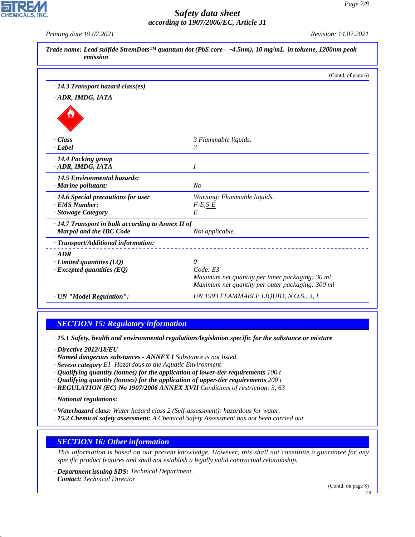*Printing date 19.07.2021 Revision: 14.07.2021*

**CHEMICALS, INC** 

|                                                         | (Contd. of page 6)                                                                                  |
|---------------------------------------------------------|-----------------------------------------------------------------------------------------------------|
| $\cdot$ 14.3 Transport hazard class(es)                 |                                                                                                     |
| · ADR, IMDG, IATA                                       |                                                                                                     |
|                                                         |                                                                                                     |
| - Class                                                 | 3 Flammable liquids.                                                                                |
| · Label                                                 | $\mathcal{E}$                                                                                       |
| · 14.4 Packing group                                    |                                                                                                     |
| · ADR, IMDG, IATA                                       | I                                                                                                   |
| · 14.5 Environmental hazards:                           |                                                                                                     |
| $\cdot$ Marine pollutant:                               | No                                                                                                  |
| · 14.6 Special precautions for user                     | Warning: Flammable liquids.                                                                         |
| · EMS Number:                                           | $F-E,S-E$                                                                                           |
| · Stowage Category                                      | E                                                                                                   |
| $\cdot$ 14.7 Transport in bulk according to Annex II of |                                                                                                     |
| <b>Marpol and the IBC Code</b>                          | Not applicable.                                                                                     |
| · Transport/Additional information:                     |                                                                                                     |
| $-ADR$                                                  |                                                                                                     |
| $\cdot$ Limited quantities (LQ)                         | $\theta$                                                                                            |
| $\cdot$ Excepted quantities (EQ)                        | Code: E3                                                                                            |
|                                                         | Maximum net quantity per inner packaging: 30 ml<br>Maximum net quantity per outer packaging: 300 ml |
|                                                         |                                                                                                     |
| · UN "Model Regulation":                                | UN 1993 FLAMMABLE LIQUID, N.O.S., 3, I                                                              |

### *SECTION 15: Regulatory information*

*· 15.1 Safety, health and environmental regulations/legislation specific for the substance or mixture*

*· Directive 2012/18/EU*

- *· Named dangerous substances ANNEX I Substance is not listed.*
- *· Seveso category E1 Hazardous to the Aquatic Environment*
- *· Qualifying quantity (tonnes) for the application of lower-tier requirements 100 t*
- *· Qualifying quantity (tonnes) for the application of upper-tier requirements 200 t*
- *· REGULATION (EC) No 1907/2006 ANNEX XVII Conditions of restriction: 3, 63*

*· National regulations:*

- *· Waterhazard class: Water hazard class 2 (Self-assessment): hazardous for water.*
- *· 15.2 Chemical safety assessment: A Chemical Safety Assessment has not been carried out.*

#### *SECTION 16: Other information*

*This information is based on our present knowledge. However, this shall not constitute a guarantee for any specific product features and shall not establish a legally valid contractual relationship.*

*· Department issuing SDS: Technical Department.*

*· Contact: Technical Director*

44.1.1

(Contd. on page 8)

GB